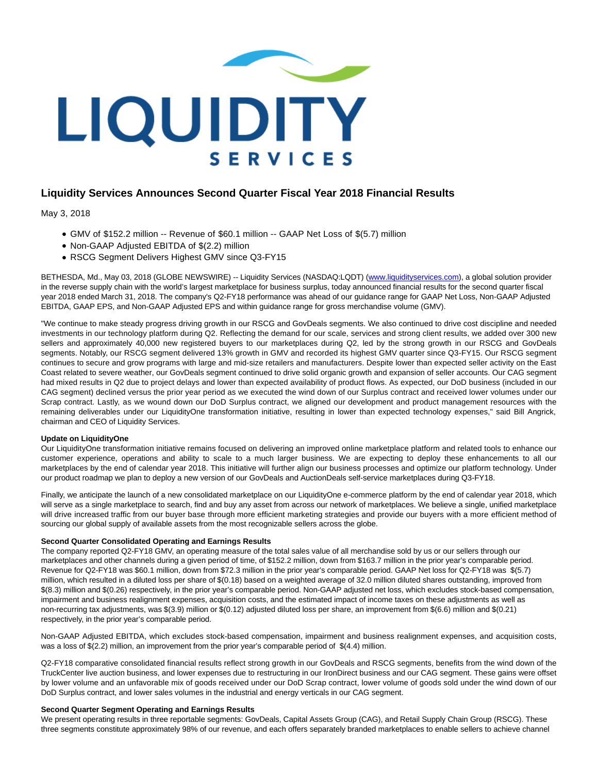

# **Liquidity Services Announces Second Quarter Fiscal Year 2018 Financial Results**

May 3, 2018

- GMV of \$152.2 million -- Revenue of \$60.1 million -- GAAP Net Loss of \$(5.7) million
- Non-GAAP Adjusted EBITDA of \$(2.2) million
- RSCG Segment Delivers Highest GMV since Q3-FY15

BETHESDA, Md., May 03, 2018 (GLOBE NEWSWIRE) -- Liquidity Services (NASDAQ:LQDT) [\(www.liquidityservices.com\),](http://www.liquidityservices.com/) a global solution provider in the reverse supply chain with the world's largest marketplace for business surplus, today announced financial results for the second quarter fiscal year 2018 ended March 31, 2018. The company's Q2-FY18 performance was ahead of our guidance range for GAAP Net Loss, Non-GAAP Adjusted EBITDA, GAAP EPS, and Non-GAAP Adjusted EPS and within guidance range for gross merchandise volume (GMV).

"We continue to make steady progress driving growth in our RSCG and GovDeals segments. We also continued to drive cost discipline and needed investments in our technology platform during Q2. Reflecting the demand for our scale, services and strong client results, we added over 300 new sellers and approximately 40,000 new registered buyers to our marketplaces during Q2, led by the strong growth in our RSCG and GovDeals segments. Notably, our RSCG segment delivered 13% growth in GMV and recorded its highest GMV quarter since Q3-FY15. Our RSCG segment continues to secure and grow programs with large and mid-size retailers and manufacturers. Despite lower than expected seller activity on the East Coast related to severe weather, our GovDeals segment continued to drive solid organic growth and expansion of seller accounts. Our CAG segment had mixed results in Q2 due to project delays and lower than expected availability of product flows. As expected, our DoD business (included in our CAG segment) declined versus the prior year period as we executed the wind down of our Surplus contract and received lower volumes under our Scrap contract. Lastly, as we wound down our DoD Surplus contract, we aligned our development and product management resources with the remaining deliverables under our LiquidityOne transformation initiative, resulting in lower than expected technology expenses," said Bill Angrick, chairman and CEO of Liquidity Services.

### **Update on LiquidityOne**

Our LiquidityOne transformation initiative remains focused on delivering an improved online marketplace platform and related tools to enhance our customer experience, operations and ability to scale to a much larger business. We are expecting to deploy these enhancements to all our marketplaces by the end of calendar year 2018. This initiative will further align our business processes and optimize our platform technology. Under our product roadmap we plan to deploy a new version of our GovDeals and AuctionDeals self-service marketplaces during Q3-FY18.

Finally, we anticipate the launch of a new consolidated marketplace on our LiquidityOne e-commerce platform by the end of calendar year 2018, which will serve as a single marketplace to search, find and buy any asset from across our network of marketplaces. We believe a single, unified marketplace will drive increased traffic from our buyer base through more efficient marketing strategies and provide our buyers with a more efficient method of sourcing our global supply of available assets from the most recognizable sellers across the globe.

### **Second Quarter Consolidated Operating and Earnings Results**

The company reported Q2-FY18 GMV, an operating measure of the total sales value of all merchandise sold by us or our sellers through our marketplaces and other channels during a given period of time, of \$152.2 million, down from \$163.7 million in the prior year's comparable period. Revenue for Q2-FY18 was \$60.1 million, down from \$72.3 million in the prior year's comparable period. GAAP Net loss for Q2-FY18 was \$(5.7) million, which resulted in a diluted loss per share of \$(0.18) based on a weighted average of 32.0 million diluted shares outstanding, improved from \$(8.3) million and \$(0.26) respectively, in the prior year's comparable period. Non-GAAP adjusted net loss, which excludes stock-based compensation, impairment and business realignment expenses, acquisition costs, and the estimated impact of income taxes on these adjustments as well as non-recurring tax adjustments, was \$(3.9) million or \$(0.12) adjusted diluted loss per share, an improvement from \$(6.6) million and \$(0.21) respectively, in the prior year's comparable period.

Non-GAAP Adjusted EBITDA, which excludes stock-based compensation, impairment and business realignment expenses, and acquisition costs, was a loss of \$(2.2) million, an improvement from the prior year's comparable period of \$(4.4) million.

Q2-FY18 comparative consolidated financial results reflect strong growth in our GovDeals and RSCG segments, benefits from the wind down of the TruckCenter live auction business, and lower expenses due to restructuring in our IronDirect business and our CAG segment. These gains were offset by lower volume and an unfavorable mix of goods received under our DoD Scrap contract, lower volume of goods sold under the wind down of our DoD Surplus contract, and lower sales volumes in the industrial and energy verticals in our CAG segment.

#### **Second Quarter Segment Operating and Earnings Results**

We present operating results in three reportable segments: GovDeals, Capital Assets Group (CAG), and Retail Supply Chain Group (RSCG). These three segments constitute approximately 98% of our revenue, and each offers separately branded marketplaces to enable sellers to achieve channel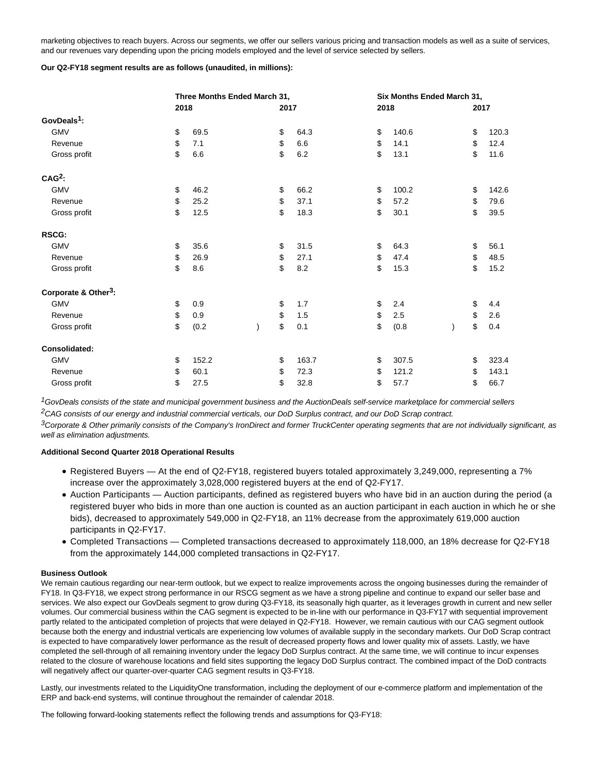marketing objectives to reach buyers. Across our segments, we offer our sellers various pricing and transaction models as well as a suite of services, and our revenues vary depending upon the pricing models employed and the level of service selected by sellers.

### **Our Q2-FY18 segment results are as follows (unaudited, in millions):**

|                                  |      | Three Months Ended March 31, |  |      | Six Months Ended March 31, |      |       |  |      |       |
|----------------------------------|------|------------------------------|--|------|----------------------------|------|-------|--|------|-------|
|                                  | 2018 |                              |  | 2017 |                            | 2018 |       |  | 2017 |       |
| GovDeals <sup>1</sup> :          |      |                              |  |      |                            |      |       |  |      |       |
| <b>GMV</b>                       | \$   | 69.5                         |  | \$   | 64.3                       | \$   | 140.6 |  | \$   | 120.3 |
| Revenue                          | \$   | 7.1                          |  | \$   | 6.6                        | \$   | 14.1  |  | \$   | 12.4  |
| Gross profit                     | \$   | 6.6                          |  | \$   | 6.2                        | \$   | 13.1  |  | \$   | 11.6  |
| $CAG2$ :                         |      |                              |  |      |                            |      |       |  |      |       |
| <b>GMV</b>                       | \$   | 46.2                         |  | \$   | 66.2                       | \$   | 100.2 |  | \$   | 142.6 |
| Revenue                          | \$   | 25.2                         |  | \$   | 37.1                       | \$   | 57.2  |  | \$   | 79.6  |
| Gross profit                     | \$   | 12.5                         |  | \$   | 18.3                       | \$   | 30.1  |  | \$   | 39.5  |
| RSCG:                            |      |                              |  |      |                            |      |       |  |      |       |
| <b>GMV</b>                       | \$   | 35.6                         |  | \$   | 31.5                       | \$   | 64.3  |  | \$   | 56.1  |
| Revenue                          | \$   | 26.9                         |  | \$   | 27.1                       | \$   | 47.4  |  | \$   | 48.5  |
| Gross profit                     | \$   | 8.6                          |  | \$   | 8.2                        | \$   | 15.3  |  | \$   | 15.2  |
| Corporate & Other <sup>3</sup> : |      |                              |  |      |                            |      |       |  |      |       |
| <b>GMV</b>                       | \$   | 0.9                          |  | \$   | 1.7                        | \$   | 2.4   |  | \$   | 4.4   |
| Revenue                          | \$   | 0.9                          |  | \$   | 1.5                        | \$   | 2.5   |  | \$   | 2.6   |
| Gross profit                     | \$   | (0.2)                        |  | \$   | 0.1                        | \$   | (0.8) |  | \$   | 0.4   |
| <b>Consolidated:</b>             |      |                              |  |      |                            |      |       |  |      |       |
| <b>GMV</b>                       | \$   | 152.2                        |  | \$   | 163.7                      | \$   | 307.5 |  | \$   | 323.4 |
| Revenue                          | \$   | 60.1                         |  | \$   | 72.3                       | \$   | 121.2 |  | \$   | 143.1 |
| Gross profit                     | \$   | 27.5                         |  | \$   | 32.8                       | \$   | 57.7  |  | \$   | 66.7  |

<sup>1</sup>GovDeals consists of the state and municipal government business and the AuctionDeals self-service marketplace for commercial sellers  $2$ CAG consists of our energy and industrial commercial verticals, our DoD Surplus contract, and our DoD Scrap contract.

 $3$ Corporate & Other primarily consists of the Company's IronDirect and former TruckCenter operating segments that are not individually significant, as well as elimination adjustments.

## **Additional Second Quarter 2018 Operational Results**

- Registered Buyers At the end of Q2-FY18, registered buyers totaled approximately 3,249,000, representing a 7% increase over the approximately 3,028,000 registered buyers at the end of Q2-FY17.
- Auction Participants Auction participants, defined as registered buyers who have bid in an auction during the period (a registered buyer who bids in more than one auction is counted as an auction participant in each auction in which he or she bids), decreased to approximately 549,000 in Q2-FY18, an 11% decrease from the approximately 619,000 auction participants in Q2-FY17.
- Completed Transactions Completed transactions decreased to approximately 118,000, an 18% decrease for Q2-FY18 from the approximately 144,000 completed transactions in Q2-FY17.

### **Business Outlook**

We remain cautious regarding our near-term outlook, but we expect to realize improvements across the ongoing businesses during the remainder of FY18. In Q3-FY18, we expect strong performance in our RSCG segment as we have a strong pipeline and continue to expand our seller base and services. We also expect our GovDeals segment to grow during Q3-FY18, its seasonally high quarter, as it leverages growth in current and new seller volumes. Our commercial business within the CAG segment is expected to be in-line with our performance in Q3-FY17 with sequential improvement partly related to the anticipated completion of projects that were delayed in Q2-FY18. However, we remain cautious with our CAG segment outlook because both the energy and industrial verticals are experiencing low volumes of available supply in the secondary markets. Our DoD Scrap contract is expected to have comparatively lower performance as the result of decreased property flows and lower quality mix of assets. Lastly, we have completed the sell-through of all remaining inventory under the legacy DoD Surplus contract. At the same time, we will continue to incur expenses related to the closure of warehouse locations and field sites supporting the legacy DoD Surplus contract. The combined impact of the DoD contracts will negatively affect our quarter-over-quarter CAG segment results in Q3-FY18.

Lastly, our investments related to the LiquidityOne transformation, including the deployment of our e-commerce platform and implementation of the ERP and back-end systems, will continue throughout the remainder of calendar 2018.

The following forward-looking statements reflect the following trends and assumptions for Q3-FY18: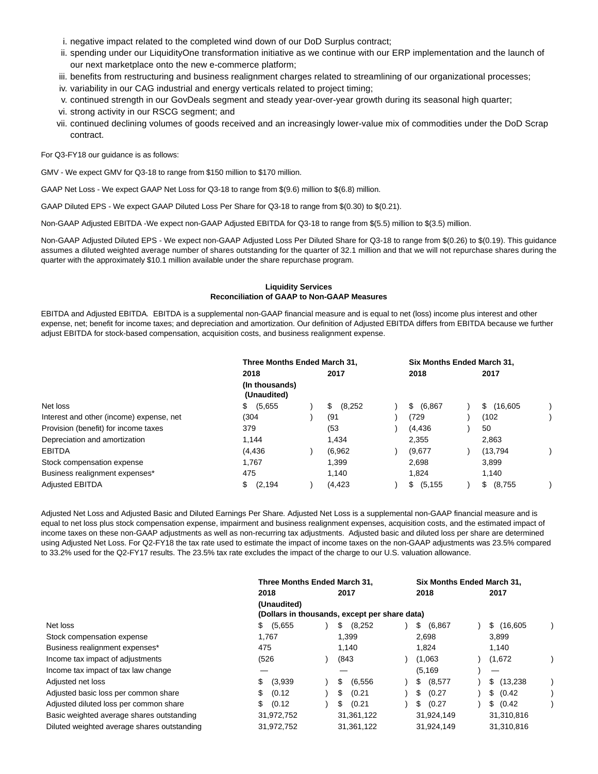- i. negative impact related to the completed wind down of our DoD Surplus contract;
- ii. spending under our LiquidityOne transformation initiative as we continue with our ERP implementation and the launch of our next marketplace onto the new e-commerce platform;
- iii. benefits from restructuring and business realignment charges related to streamlining of our organizational processes;
- iv. variability in our CAG industrial and energy verticals related to project timing;
- v. continued strength in our GovDeals segment and steady year-over-year growth during its seasonal high quarter;
- vi. strong activity in our RSCG segment; and
- vii. continued declining volumes of goods received and an increasingly lower-value mix of commodities under the DoD Scrap contract.

For Q3-FY18 our guidance is as follows:

GMV - We expect GMV for Q3-18 to range from \$150 million to \$170 million.

GAAP Net Loss - We expect GAAP Net Loss for Q3-18 to range from \$(9.6) million to \$(6.8) million.

GAAP Diluted EPS - We expect GAAP Diluted Loss Per Share for Q3-18 to range from \$(0.30) to \$(0.21).

Non-GAAP Adjusted EBITDA -We expect non-GAAP Adjusted EBITDA for Q3-18 to range from \$(5.5) million to \$(3.5) million.

Non-GAAP Adjusted Diluted EPS - We expect non-GAAP Adjusted Loss Per Diluted Share for Q3-18 to range from \$(0.26) to \$(0.19). This guidance assumes a diluted weighted average number of shares outstanding for the quarter of 32.1 million and that we will not repurchase shares during the quarter with the approximately \$10.1 million available under the share repurchase program.

### **Liquidity Services Reconciliation of GAAP to Non-GAAP Measures**

EBITDA and Adjusted EBITDA. EBITDA is a supplemental non-GAAP financial measure and is equal to net (loss) income plus interest and other expense, net; benefit for income taxes; and depreciation and amortization. Our definition of Adjusted EBITDA differs from EBITDA because we further adjust EBITDA for stock-based compensation, acquisition costs, and business realignment expense.

|                                          | Three Months Ended March 31,  |      |               | Six Months Ended March 31, |                |      |                 |  |
|------------------------------------------|-------------------------------|------|---------------|----------------------------|----------------|------|-----------------|--|
|                                          | 2018                          | 2017 |               |                            | 2018           | 2017 |                 |  |
|                                          | (In thousands)<br>(Unaudited) |      |               |                            |                |      |                 |  |
| Net loss                                 | (5,655)<br>S.                 |      | (8,252)<br>\$ |                            | (6,867<br>S.   |      | (16, 605)<br>\$ |  |
| Interest and other (income) expense, net | (304                          |      | (91)          |                            | (729           |      | (102)           |  |
| Provision (benefit) for income taxes     | 379                           |      | (53)          |                            | (4, 436)       |      | 50              |  |
| Depreciation and amortization            | 1.144                         |      | 1.434         |                            | 2,355          |      | 2,863           |  |
| <b>EBITDA</b>                            | (4, 436)                      |      | (6.962)       |                            | (9,677)        |      | (13,794)        |  |
| Stock compensation expense               | 1.767                         |      | 1,399         |                            | 2,698          |      | 3.899           |  |
| Business realignment expenses*           | 475                           |      | 1.140         |                            | 1,824          |      | 1.140           |  |
| <b>Adiusted EBITDA</b>                   | (2, 194)<br>\$                |      | (4, 423)      |                            | (5, 155)<br>\$ |      | S.<br>(8,755    |  |

Adjusted Net Loss and Adjusted Basic and Diluted Earnings Per Share. Adjusted Net Loss is a supplemental non-GAAP financial measure and is equal to net loss plus stock compensation expense, impairment and business realignment expenses, acquisition costs, and the estimated impact of income taxes on these non-GAAP adjustments as well as non-recurring tax adjustments. Adjusted basic and diluted loss per share are determined using Adjusted Net Loss. For Q2-FY18 the tax rate used to estimate the impact of income taxes on the non-GAAP adjustments was 23.5% compared to 33.2% used for the Q2-FY17 results. The 23.5% tax rate excludes the impact of the charge to our U.S. valuation allowance.

|                                             |               | Three Months Ended March 31.                  | Six Months Ended March 31, |            |  |  |
|---------------------------------------------|---------------|-----------------------------------------------|----------------------------|------------|--|--|
|                                             | 2018          | 2017                                          | 2018                       | 2017       |  |  |
|                                             | (Unaudited)   |                                               |                            |            |  |  |
|                                             |               | (Dollars in thousands, except per share data) |                            |            |  |  |
| Net loss                                    | S.<br>(5,655) | \$<br>(8,252)                                 | (6,867)<br>\$              | \$(16,605) |  |  |
| Stock compensation expense                  | 1.767         | 1.399                                         | 2,698                      | 3,899      |  |  |
| Business realignment expenses*              | 475           | 1.140                                         | 1.824                      | 1.140      |  |  |
| Income tax impact of adjustments            | (526)         | (843)                                         | (1,063)                    | (1,672)    |  |  |
| Income tax impact of tax law change         |               |                                               | (5, 169)                   |            |  |  |
| Adjusted net loss                           | (3.939)<br>S. | \$<br>(6,556                                  | \$<br>(8,577)              | \$(13,238) |  |  |
| Adjusted basic loss per common share        | S.<br>(0.12)  | \$<br>(0.21)                                  | \$<br>(0.27)               | \$ (0.42)  |  |  |
| Adjusted diluted loss per common share      | S.<br>(0.12)  | \$<br>(0.21)                                  | \$<br>(0.27)               | \$ (0.42)  |  |  |
| Basic weighted average shares outstanding   | 31,972,752    | 31,361,122                                    | 31,924,149                 | 31,310,816 |  |  |
| Diluted weighted average shares outstanding | 31,972,752    | 31,361,122                                    | 31,924,149                 | 31,310,816 |  |  |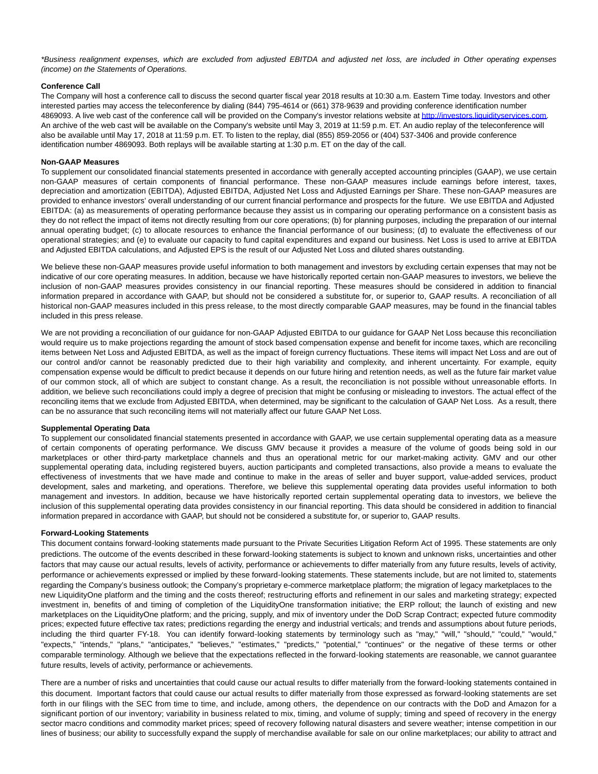\*Business realignment expenses, which are excluded from adjusted EBITDA and adjusted net loss, are included in Other operating expenses (income) on the Statements of Operations.

### **Conference Call**

The Company will host a conference call to discuss the second quarter fiscal year 2018 results at 10:30 a.m. Eastern Time today. Investors and other interested parties may access the teleconference by dialing (844) 795-4614 or (661) 378-9639 and providing conference identification number 4869093. A live web cast of the conference call will be provided on the Company's investor relations website a[t http://investors.liquidityservices.com.](https://www.globenewswire.com/Tracker?data=hTVIy_oqIVKBczgMUFoedk9Yrnq09xlPz03wTY0NvlCvtxrEcNj_bQcnLzZ-fazTSOI-t_AqK48erigRsZ0shN95tjDvE2JBH_4eNgAteEREy6QUeP2gHr2Am2L4PC2Nex_1kG0x-1lIvwUlY3RnUg==) An archive of the web cast will be available on the Company's website until May 3, 2019 at 11:59 p.m. ET. An audio replay of the teleconference will also be available until May 17, 2018 at 11:59 p.m. ET. To listen to the replay, dial (855) 859-2056 or (404) 537-3406 and provide conference identification number 4869093. Both replays will be available starting at 1:30 p.m. ET on the day of the call.

#### **Non-GAAP Measures**

To supplement our consolidated financial statements presented in accordance with generally accepted accounting principles (GAAP), we use certain non-GAAP measures of certain components of financial performance. These non-GAAP measures include earnings before interest, taxes, depreciation and amortization (EBITDA), Adjusted EBITDA, Adjusted Net Loss and Adjusted Earnings per Share. These non-GAAP measures are provided to enhance investors' overall understanding of our current financial performance and prospects for the future. We use EBITDA and Adjusted EBITDA: (a) as measurements of operating performance because they assist us in comparing our operating performance on a consistent basis as they do not reflect the impact of items not directly resulting from our core operations; (b) for planning purposes, including the preparation of our internal annual operating budget; (c) to allocate resources to enhance the financial performance of our business; (d) to evaluate the effectiveness of our operational strategies; and (e) to evaluate our capacity to fund capital expenditures and expand our business. Net Loss is used to arrive at EBITDA and Adjusted EBITDA calculations, and Adjusted EPS is the result of our Adjusted Net Loss and diluted shares outstanding.

We believe these non-GAAP measures provide useful information to both management and investors by excluding certain expenses that may not be indicative of our core operating measures. In addition, because we have historically reported certain non-GAAP measures to investors, we believe the inclusion of non-GAAP measures provides consistency in our financial reporting. These measures should be considered in addition to financial information prepared in accordance with GAAP, but should not be considered a substitute for, or superior to, GAAP results. A reconciliation of all historical non-GAAP measures included in this press release, to the most directly comparable GAAP measures, may be found in the financial tables included in this press release.

We are not providing a reconciliation of our guidance for non-GAAP Adjusted EBITDA to our guidance for GAAP Net Loss because this reconciliation would require us to make projections regarding the amount of stock based compensation expense and benefit for income taxes, which are reconciling items between Net Loss and Adjusted EBITDA, as well as the impact of foreign currency fluctuations. These items will impact Net Loss and are out of our control and/or cannot be reasonably predicted due to their high variability and complexity, and inherent uncertainty. For example, equity compensation expense would be difficult to predict because it depends on our future hiring and retention needs, as well as the future fair market value of our common stock, all of which are subject to constant change. As a result, the reconciliation is not possible without unreasonable efforts. In addition, we believe such reconciliations could imply a degree of precision that might be confusing or misleading to investors. The actual effect of the reconciling items that we exclude from Adjusted EBITDA, when determined, may be significant to the calculation of GAAP Net Loss. As a result, there can be no assurance that such reconciling items will not materially affect our future GAAP Net Loss.

#### **Supplemental Operating Data**

To supplement our consolidated financial statements presented in accordance with GAAP, we use certain supplemental operating data as a measure of certain components of operating performance. We discuss GMV because it provides a measure of the volume of goods being sold in our marketplaces or other third-party marketplace channels and thus an operational metric for our market-making activity. GMV and our other supplemental operating data, including registered buyers, auction participants and completed transactions, also provide a means to evaluate the effectiveness of investments that we have made and continue to make in the areas of seller and buyer support, value-added services, product development, sales and marketing, and operations. Therefore, we believe this supplemental operating data provides useful information to both management and investors. In addition, because we have historically reported certain supplemental operating data to investors, we believe the inclusion of this supplemental operating data provides consistency in our financial reporting. This data should be considered in addition to financial information prepared in accordance with GAAP, but should not be considered a substitute for, or superior to, GAAP results.

#### **Forward-Looking Statements**

This document contains forward‑looking statements made pursuant to the Private Securities Litigation Reform Act of 1995. These statements are only predictions. The outcome of the events described in these forward‑looking statements is subject to known and unknown risks, uncertainties and other factors that may cause our actual results, levels of activity, performance or achievements to differ materially from any future results, levels of activity, performance or achievements expressed or implied by these forward-looking statements. These statements include, but are not limited to, statements regarding the Company's business outlook; the Company's proprietary e-commerce marketplace platform; the migration of legacy marketplaces to the new LiquidityOne platform and the timing and the costs thereof; restructuring efforts and refinement in our sales and marketing strategy; expected investment in, benefits of and timing of completion of the LiquidityOne transformation initiative; the ERP rollout; the launch of existing and new marketplaces on the LiquidityOne platform; and the pricing, supply, and mix of inventory under the DoD Scrap Contract; expected future commodity prices; expected future effective tax rates; predictions regarding the energy and industrial verticals; and trends and assumptions about future periods, including the third quarter FY-18. You can identify forward-looking statements by terminology such as "may," "will," "should," "could," "would," "expects," "intends," "plans," "anticipates," "believes," "estimates," "predicts," "potential," "continues" or the negative of these terms or other comparable terminology. Although we believe that the expectations reflected in the forward-looking statements are reasonable, we cannot guarantee future results, levels of activity, performance or achievements.

There are a number of risks and uncertainties that could cause our actual results to differ materially from the forward-looking statements contained in this document. Important factors that could cause our actual results to differ materially from those expressed as forward-looking statements are set forth in our filings with the SEC from time to time, and include, among others, the dependence on our contracts with the DoD and Amazon for a significant portion of our inventory; variability in business related to mix, timing, and volume of supply; timing and speed of recovery in the energy sector macro conditions and commodity market prices; speed of recovery following natural disasters and severe weather; intense competition in our lines of business; our ability to successfully expand the supply of merchandise available for sale on our online marketplaces; our ability to attract and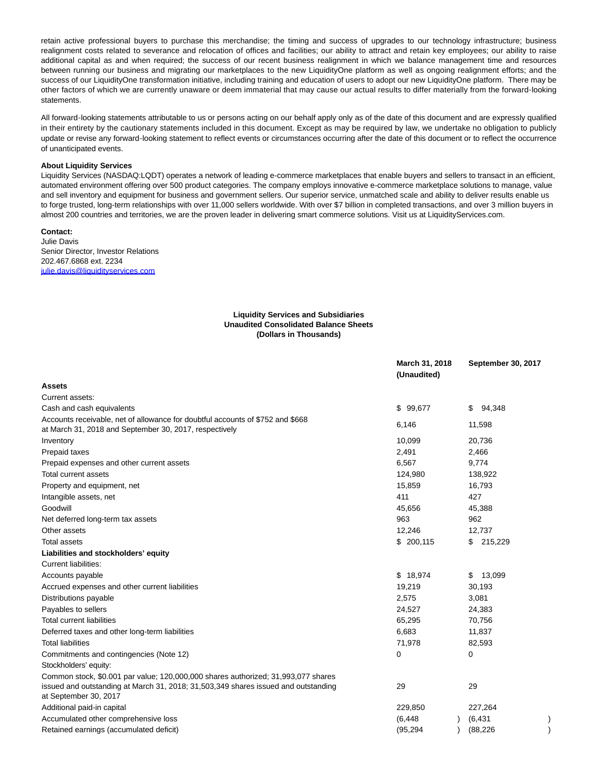retain active professional buyers to purchase this merchandise; the timing and success of upgrades to our technology infrastructure; business realignment costs related to severance and relocation of offices and facilities; our ability to attract and retain key employees; our ability to raise additional capital as and when required; the success of our recent business realignment in which we balance management time and resources between running our business and migrating our marketplaces to the new LiquidityOne platform as well as ongoing realignment efforts; and the success of our LiquidityOne transformation initiative, including training and education of users to adopt our new LiquidityOne platform. There may be other factors of which we are currently unaware or deem immaterial that may cause our actual results to differ materially from the forward‑looking statements.

All forward‑looking statements attributable to us or persons acting on our behalf apply only as of the date of this document and are expressly qualified in their entirety by the cautionary statements included in this document. Except as may be required by law, we undertake no obligation to publicly update or revise any forward‑looking statement to reflect events or circumstances occurring after the date of this document or to reflect the occurrence of unanticipated events.

### **About Liquidity Services**

Liquidity Services (NASDAQ:LQDT) operates a network of leading e-commerce marketplaces that enable buyers and sellers to transact in an efficient, automated environment offering over 500 product categories. The company employs innovative e-commerce marketplace solutions to manage, value and sell inventory and equipment for business and government sellers. Our superior service, unmatched scale and ability to deliver results enable us to forge trusted, long-term relationships with over 11,000 sellers worldwide. With over \$7 billion in completed transactions, and over 3 million buyers in almost 200 countries and territories, we are the proven leader in delivering smart commerce solutions. Visit us at LiquidityServices.com.

#### **Contact:**

Julie Davis Senior Director, Investor Relations 202.467.6868 ext. 2234 [julie.davis@liquidityservices.com](https://www.globenewswire.com/Tracker?data=RRWmv35V94vtOmItBu0ItT2SSfJSpRBSC--x6l-mLkTcYzUJFiX_Z0TiB4J9fHqo552MaAZXaewByPvgJRyAoNYj0bCczJXnAmoI8a8zRHO9olk-Y6LY1Tmg7AaBIzKu)

### **Liquidity Services and Subsidiaries Unaudited Consolidated Balance Sheets (Dollars in Thousands)**

|                                                                                                                                                                                                  | March 31, 2018<br>(Unaudited) | September 30, 2017 |
|--------------------------------------------------------------------------------------------------------------------------------------------------------------------------------------------------|-------------------------------|--------------------|
| <b>Assets</b>                                                                                                                                                                                    |                               |                    |
| Current assets:                                                                                                                                                                                  |                               |                    |
| Cash and cash equivalents                                                                                                                                                                        | \$99,677                      | 94,348<br>\$       |
| Accounts receivable, net of allowance for doubtful accounts of \$752 and \$668<br>at March 31, 2018 and September 30, 2017, respectively                                                         | 6,146                         | 11,598             |
| Inventory                                                                                                                                                                                        | 10,099                        | 20,736             |
| Prepaid taxes                                                                                                                                                                                    | 2,491                         | 2,466              |
| Prepaid expenses and other current assets                                                                                                                                                        | 6,567                         | 9,774              |
| <b>Total current assets</b>                                                                                                                                                                      | 124,980                       | 138,922            |
| Property and equipment, net                                                                                                                                                                      | 15,859                        | 16,793             |
| Intangible assets, net                                                                                                                                                                           | 411                           | 427                |
| Goodwill                                                                                                                                                                                         | 45,656                        | 45,388             |
| Net deferred long-term tax assets                                                                                                                                                                | 963                           | 962                |
| Other assets                                                                                                                                                                                     | 12,246                        | 12,737             |
| <b>Total assets</b>                                                                                                                                                                              | \$200,115                     | 215,229<br>\$      |
| Liabilities and stockholders' equity                                                                                                                                                             |                               |                    |
| <b>Current liabilities:</b>                                                                                                                                                                      |                               |                    |
| Accounts payable                                                                                                                                                                                 | \$18,974                      | \$13,099           |
| Accrued expenses and other current liabilities                                                                                                                                                   | 19,219                        | 30,193             |
| Distributions payable                                                                                                                                                                            | 2,575                         | 3,081              |
| Payables to sellers                                                                                                                                                                              | 24,527                        | 24,383             |
| <b>Total current liabilities</b>                                                                                                                                                                 | 65,295                        | 70,756             |
| Deferred taxes and other long-term liabilities                                                                                                                                                   | 6,683                         | 11,837             |
| <b>Total liabilities</b>                                                                                                                                                                         | 71,978                        | 82,593             |
| Commitments and contingencies (Note 12)                                                                                                                                                          | $\mathbf 0$                   | 0                  |
| Stockholders' equity:                                                                                                                                                                            |                               |                    |
| Common stock, \$0.001 par value; 120,000,000 shares authorized; 31,993,077 shares<br>issued and outstanding at March 31, 2018; 31,503,349 shares issued and outstanding<br>at September 30, 2017 | 29                            | 29                 |
| Additional paid-in capital                                                                                                                                                                       | 229,850                       | 227,264            |
| Accumulated other comprehensive loss                                                                                                                                                             | (6, 448)                      | (6, 431)           |
| Retained earnings (accumulated deficit)                                                                                                                                                          | (95, 294)                     | (88, 226)          |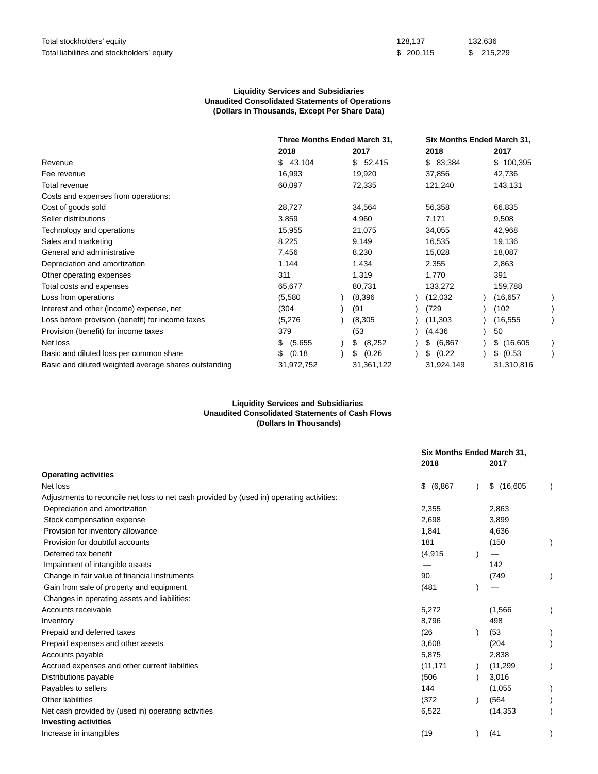### **Liquidity Services and Subsidiaries Unaudited Consolidated Statements of Operations (Dollars in Thousands, Except Per Share Data)**

|                                                       | Three Months Ended March 31, |  |               | Six Months Ended March 31, |                |  |                |  |
|-------------------------------------------------------|------------------------------|--|---------------|----------------------------|----------------|--|----------------|--|
|                                                       | 2018                         |  | 2017          |                            | 2018           |  | 2017           |  |
| Revenue                                               | \$43,104                     |  | \$52,415      |                            | \$83,384       |  | \$100,395      |  |
| Fee revenue                                           | 16,993                       |  | 19,920        |                            | 37,856         |  | 42,736         |  |
| Total revenue                                         | 60,097                       |  | 72,335        |                            | 121,240        |  | 143,131        |  |
| Costs and expenses from operations:                   |                              |  |               |                            |                |  |                |  |
| Cost of goods sold                                    | 28,727                       |  | 34,564        |                            | 56,358         |  | 66,835         |  |
| Seller distributions                                  | 3,859                        |  | 4,960         |                            | 7,171          |  | 9,508          |  |
| Technology and operations                             | 15,955                       |  | 21,075        |                            | 34,055         |  | 42,968         |  |
| Sales and marketing                                   | 8,225                        |  | 9,149         |                            | 16,535         |  | 19,136         |  |
| General and administrative                            | 7,456                        |  | 8,230         |                            | 15,028         |  | 18,087         |  |
| Depreciation and amortization                         | 1,144                        |  | 1,434         |                            | 2,355          |  | 2,863          |  |
| Other operating expenses                              | 311                          |  | 1,319         |                            | 1,770          |  | 391            |  |
| Total costs and expenses                              | 65,677                       |  | 80,731        |                            | 133,272        |  | 159,788        |  |
| Loss from operations                                  | (5,580)                      |  | (8, 396)      |                            | (12,032)       |  | (16, 657)      |  |
| Interest and other (income) expense, net              | (304                         |  | (91)          |                            | (729           |  | (102)          |  |
| Loss before provision (benefit) for income taxes      | (5,276)                      |  | (8, 305)      |                            | (11,303        |  | (16, 555)      |  |
| Provision (benefit) for income taxes                  | 379                          |  | (53)          |                            | (4,436)        |  | 50             |  |
| Net loss                                              | \$<br>(5,655)                |  | \$<br>(8,252) |                            | \$<br>(6, 867) |  | $$^{(16,605)}$ |  |
| Basic and diluted loss per common share               | (0.18)<br>\$                 |  | \$<br>(0.26)  |                            | \$<br>(0.22)   |  | \$ (0.53)      |  |
| Basic and diluted weighted average shares outstanding | 31,972,752                   |  | 31,361,122    |                            | 31,924,149     |  | 31,310,816     |  |

# **Liquidity Services and Subsidiaries Unaudited Consolidated Statements of Cash Flows (Dollars In Thousands)**

|                                                                                           | Six Months Ended March 31, |  |                 |  |
|-------------------------------------------------------------------------------------------|----------------------------|--|-----------------|--|
|                                                                                           | 2018                       |  | 2017            |  |
| <b>Operating activities</b>                                                               |                            |  |                 |  |
| Net loss                                                                                  | \$<br>(6, 867)             |  | \$<br>(16, 605) |  |
| Adjustments to reconcile net loss to net cash provided by (used in) operating activities: |                            |  |                 |  |
| Depreciation and amortization                                                             | 2,355                      |  | 2,863           |  |
| Stock compensation expense                                                                | 2,698                      |  | 3,899           |  |
| Provision for inventory allowance                                                         | 1,841                      |  | 4,636           |  |
| Provision for doubtful accounts                                                           | 181                        |  | (150)           |  |
| Deferred tax benefit                                                                      | (4, 915)                   |  |                 |  |
| Impairment of intangible assets                                                           |                            |  | 142             |  |
| Change in fair value of financial instruments                                             | 90                         |  | (749            |  |
| Gain from sale of property and equipment                                                  | (481)                      |  |                 |  |
| Changes in operating assets and liabilities:                                              |                            |  |                 |  |
| Accounts receivable                                                                       | 5,272                      |  | (1,566)         |  |
| Inventory                                                                                 | 8,796                      |  | 498             |  |
| Prepaid and deferred taxes                                                                | (26)                       |  | (53)            |  |
| Prepaid expenses and other assets                                                         | 3,608                      |  | (204)           |  |
| Accounts payable                                                                          | 5,875                      |  | 2,838           |  |
| Accrued expenses and other current liabilities                                            | (11, 171)                  |  | (11, 299)       |  |
| Distributions payable                                                                     | (506)                      |  | 3,016           |  |
| Payables to sellers                                                                       | 144                        |  | (1,055)         |  |
| Other liabilities                                                                         | (372)                      |  | (564)           |  |
| Net cash provided by (used in) operating activities                                       | 6,522                      |  | (14, 353)       |  |
| <b>Investing activities</b>                                                               |                            |  |                 |  |
| Increase in intangibles                                                                   | (19)                       |  | (41)            |  |
|                                                                                           |                            |  |                 |  |